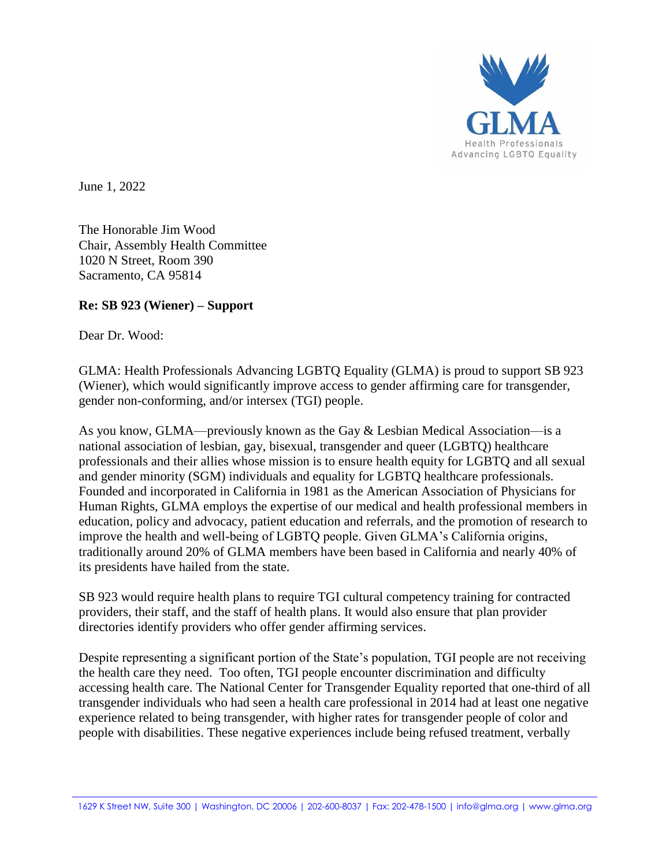

June 1, 2022

The Honorable Jim Wood Chair, Assembly Health Committee 1020 N Street, Room 390 Sacramento, CA 95814

## **Re: SB 923 (Wiener) – Support**

Dear Dr. Wood:

GLMA: Health Professionals Advancing LGBTQ Equality (GLMA) is proud to support SB 923 (Wiener), which would significantly improve access to gender affirming care for transgender, gender non-conforming, and/or intersex (TGI) people.

As you know, GLMA—previously known as the Gay & Lesbian Medical Association—is a national association of lesbian, gay, bisexual, transgender and queer (LGBTQ) healthcare professionals and their allies whose mission is to ensure health equity for LGBTQ and all sexual and gender minority (SGM) individuals and equality for LGBTQ healthcare professionals. Founded and incorporated in California in 1981 as the American Association of Physicians for Human Rights, GLMA employs the expertise of our medical and health professional members in education, policy and advocacy, patient education and referrals, and the promotion of research to improve the health and well-being of LGBTQ people. Given GLMA's California origins, traditionally around 20% of GLMA members have been based in California and nearly 40% of its presidents have hailed from the state.

SB 923 would require health plans to require TGI cultural competency training for contracted providers, their staff, and the staff of health plans. It would also ensure that plan provider directories identify providers who offer gender affirming services.

Despite representing a significant portion of the State's population, TGI people are not receiving the health care they need. Too often, TGI people encounter discrimination and difficulty accessing health care. The National Center for Transgender Equality reported that one-third of all transgender individuals who had seen a health care professional in 2014 had at least one negative experience related to being transgender, with higher rates for transgender people of color and people with disabilities. These negative experiences include being refused treatment, verbally